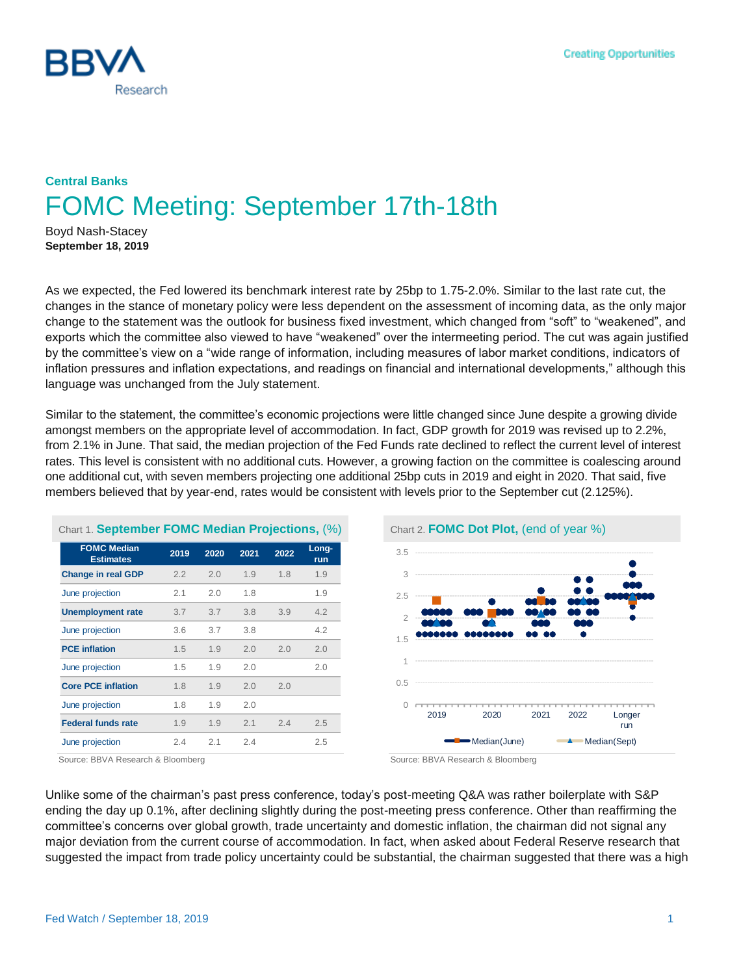

## **Central Banks** FOMC Meeting: September 17th-18th

Boyd Nash-Stacey **September 18, 2019**

As we expected, the Fed lowered its benchmark interest rate by 25bp to 1.75-2.0%. Similar to the last rate cut, the changes in the stance of monetary policy were less dependent on the assessment of incoming data, as the only major change to the statement was the outlook for business fixed investment, which changed from "soft" to "weakened", and exports which the committee also viewed to have "weakened" over the intermeeting period. The cut was again justified by the committee's view on a "wide range of information, including measures of labor market conditions, indicators of inflation pressures and inflation expectations, and readings on financial and international developments," although this language was unchanged from the July statement.

Similar to the statement, the committee's economic projections were little changed since June despite a growing divide amongst members on the appropriate level of accommodation. In fact, GDP growth for 2019 was revised up to 2.2%, from 2.1% in June. That said, the median projection of the Fed Funds rate declined to reflect the current level of interest rates. This level is consistent with no additional cuts. However, a growing faction on the committee is coalescing around one additional cut, with seven members projecting one additional 25bp cuts in 2019 and eight in 2020. That said, five members believed that by year-end, rates would be consistent with levels prior to the September cut (2.125%).

| Chart 1. September FOMC Median Projections, (%) |      |      |      |      |              |
|-------------------------------------------------|------|------|------|------|--------------|
| <b>FOMC Median</b><br><b>Estimates</b>          | 2019 | 2020 | 2021 | 2022 | Long-<br>run |
| <b>Change in real GDP</b>                       | 2.2  | 2.0  | 1.9  | 1.8  | 1.9          |
| June projection                                 | 2.1  | 2.0  | 1.8  |      | 1.9          |
| <b>Unemployment rate</b>                        | 3.7  | 3.7  | 3.8  | 3.9  | 4.2          |
| June projection                                 | 3.6  | 3.7  | 3.8  |      | 4.2          |
| <b>PCE</b> inflation                            | 1.5  | 1.9  | 2.0  | 2.0  | 2.0          |
| June projection                                 | 1.5  | 1.9  | 2.0  |      | 2.0          |
| <b>Core PCE inflation</b>                       | 1.8  | 1.9  | 2.0  | 2.0  |              |
| June projection                                 | 1.8  | 1.9  | 2.0  |      |              |
| <b>Federal funds rate</b>                       | 1.9  | 1.9  | 2.1  | 2.4  | 2.5          |
| June projection                                 | 2.4  | 2.1  | 2.4  |      | 2.5          |



Source: BBVA Research & Bloomberg Source: BBVA Research & Bloomberg

Unlike some of the chairman's past press conference, today's post-meeting Q&A was rather boilerplate with S&P ending the day up 0.1%, after declining slightly during the post-meeting press conference. Other than reaffirming the committee's concerns over global growth, trade uncertainty and domestic inflation, the chairman did not signal any major deviation from the current course of accommodation. In fact, when asked about Federal Reserve research that suggested the impact from trade policy uncertainty could be substantial, the chairman suggested that there was a high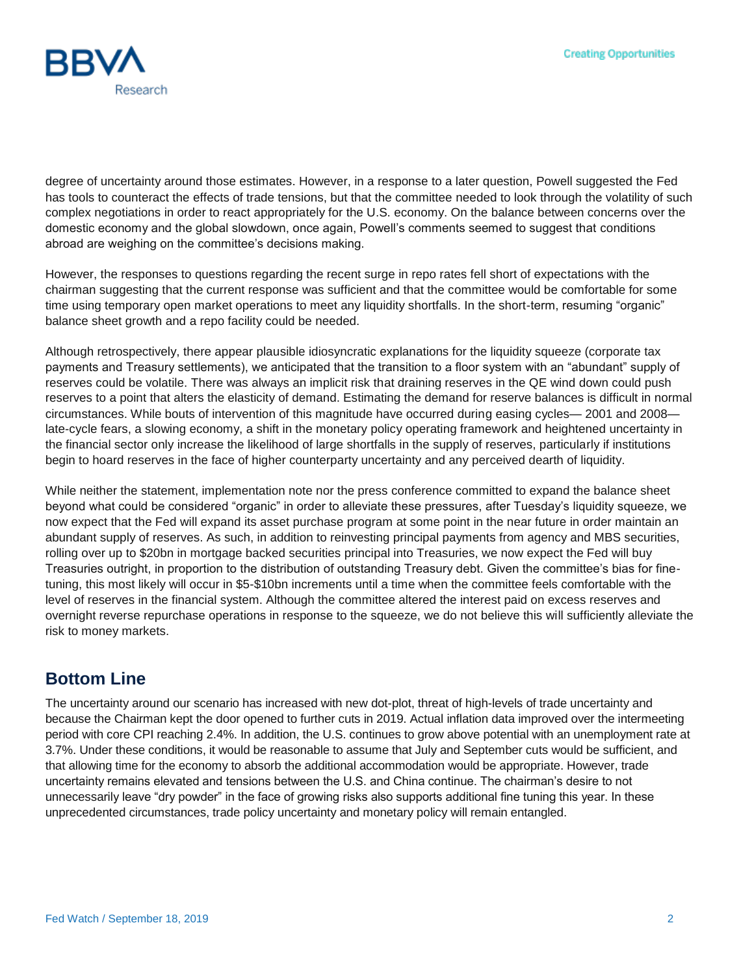

degree of uncertainty around those estimates. However, in a response to a later question, Powell suggested the Fed has tools to counteract the effects of trade tensions, but that the committee needed to look through the volatility of such complex negotiations in order to react appropriately for the U.S. economy. On the balance between concerns over the domestic economy and the global slowdown, once again, Powell's comments seemed to suggest that conditions abroad are weighing on the committee's decisions making.

However, the responses to questions regarding the recent surge in repo rates fell short of expectations with the chairman suggesting that the current response was sufficient and that the committee would be comfortable for some time using temporary open market operations to meet any liquidity shortfalls. In the short-term, resuming "organic" balance sheet growth and a repo facility could be needed.

Although retrospectively, there appear plausible idiosyncratic explanations for the liquidity squeeze (corporate tax payments and Treasury settlements), we anticipated that the transition to a floor system with an "abundant" supply of reserves could be volatile. There was always an implicit risk that draining reserves in the QE wind down could push reserves to a point that alters the elasticity of demand. Estimating the demand for reserve balances is difficult in normal circumstances. While bouts of intervention of this magnitude have occurred during easing cycles— 2001 and 2008 late-cycle fears, a slowing economy, a shift in the monetary policy operating framework and heightened uncertainty in the financial sector only increase the likelihood of large shortfalls in the supply of reserves, particularly if institutions begin to hoard reserves in the face of higher counterparty uncertainty and any perceived dearth of liquidity.

While neither the statement, implementation note nor the press conference committed to expand the balance sheet beyond what could be considered "organic" in order to alleviate these pressures, after Tuesday's liquidity squeeze, we now expect that the Fed will expand its asset purchase program at some point in the near future in order maintain an abundant supply of reserves. As such, in addition to reinvesting principal payments from agency and MBS securities, rolling over up to \$20bn in mortgage backed securities principal into Treasuries, we now expect the Fed will buy Treasuries outright, in proportion to the distribution of outstanding Treasury debt. Given the committee's bias for finetuning, this most likely will occur in \$5-\$10bn increments until a time when the committee feels comfortable with the level of reserves in the financial system. Although the committee altered the interest paid on excess reserves and overnight reverse repurchase operations in response to the squeeze, we do not believe this will sufficiently alleviate the risk to money markets.

## **Bottom Line**

The uncertainty around our scenario has increased with new dot-plot, threat of high-levels of trade uncertainty and because the Chairman kept the door opened to further cuts in 2019. Actual inflation data improved over the intermeeting period with core CPI reaching 2.4%. In addition, the U.S. continues to grow above potential with an unemployment rate at 3.7%. Under these conditions, it would be reasonable to assume that July and September cuts would be sufficient, and that allowing time for the economy to absorb the additional accommodation would be appropriate. However, trade uncertainty remains elevated and tensions between the U.S. and China continue. The chairman's desire to not unnecessarily leave "dry powder" in the face of growing risks also supports additional fine tuning this year. In these unprecedented circumstances, trade policy uncertainty and monetary policy will remain entangled.